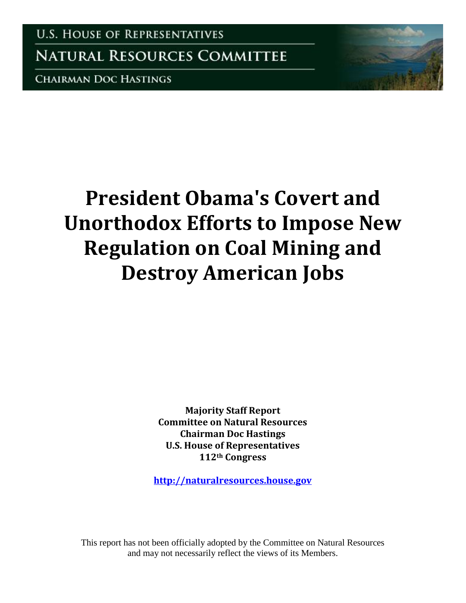**U.S. HOUSE OF REPRESENTATIVES** 

**NATURAL RESOURCES COMMITTEE** 

**CHAIRMAN DOC HASTINGS** 

# **President Obama's Covert and Unorthodox Efforts to Impose New Regulation on Coal Mining and Destroy American Jobs**

**Majority Staff Report Committee on Natural Resources Chairman Doc Hastings U.S. House of Representatives 112th Congress** 

**[http://naturalresources.house.gov](http://naturalresources.house.gov/)**

This report has not been officially adopted by the Committee on Natural Resources and may not necessarily reflect the views of its Members.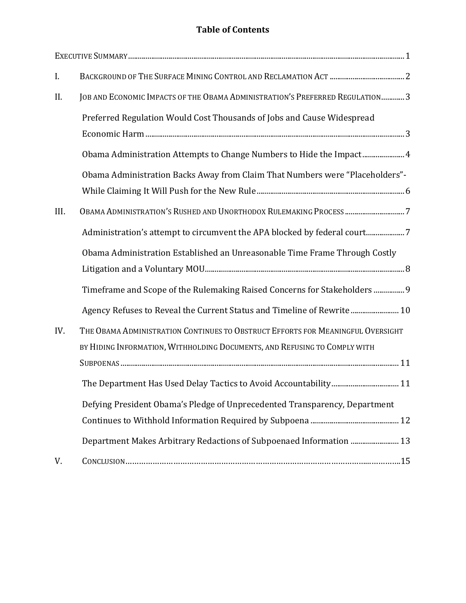# **Table of Contents**

| I.   |                                                                                                                                                              |
|------|--------------------------------------------------------------------------------------------------------------------------------------------------------------|
| II.  | JOB AND ECONOMIC IMPACTS OF THE OBAMA ADMINISTRATION'S PREFERRED REGULATION 3                                                                                |
|      | Preferred Regulation Would Cost Thousands of Jobs and Cause Widespread                                                                                       |
|      | Obama Administration Attempts to Change Numbers to Hide the Impact 4                                                                                         |
|      | Obama Administration Backs Away from Claim That Numbers were "Placeholders"-                                                                                 |
| III. | OBAMA ADMINISTRATION'S RUSHED AND UNORTHODOX RULEMAKING PROCESS 7                                                                                            |
|      | Administration's attempt to circumvent the APA blocked by federal court7                                                                                     |
|      | Obama Administration Established an Unreasonable Time Frame Through Costly                                                                                   |
|      | Timeframe and Scope of the Rulemaking Raised Concerns for Stakeholders  9                                                                                    |
|      | Agency Refuses to Reveal the Current Status and Timeline of Rewrite 10                                                                                       |
| IV.  | THE OBAMA ADMINISTRATION CONTINUES TO OBSTRUCT EFFORTS FOR MEANINGFUL OVERSIGHT<br>BY HIDING INFORMATION, WITHHOLDING DOCUMENTS, AND REFUSING TO COMPLY WITH |
|      |                                                                                                                                                              |
|      | Defying President Obama's Pledge of Unprecedented Transparency, Department<br>Department Makes Arbitrary Redactions of Subpoenaed Information  13            |
| V.   |                                                                                                                                                              |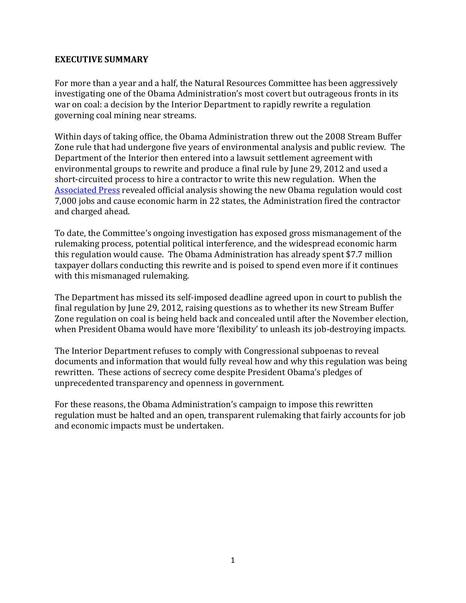#### <span id="page-2-0"></span>**EXECUTIVE SUMMARY**

For more than a year and a half, the Natural Resources Committee has been aggressively investigating one of the Obama Administration's most covert but outrageous fronts in its war on coal: a decision by the Interior Department to rapidly rewrite a regulation governing coal mining near streams.

Within days of taking office, the Obama Administration threw out the 2008 Stream Buffer Zone rule that had undergone five years of environmental analysis and public review. The Department of the Interior then entered into a lawsuit settlement agreement with environmental groups to rewrite and produce a final rule by June 29, 2012 and used a short-circuited process to hire a contractor to write this new regulation. When the [Associated Press](http://wvgazette.com/News/MiningtheMountains/201101280708) revealed official analysis showing the new Obama regulation would cost 7,000 jobs and cause economic harm in 22 states, the Administration fired the contractor and charged ahead.

To date, the Committee's ongoing investigation has exposed gross mismanagement of the rulemaking process, potential political interference, and the widespread economic harm this regulation would cause. The Obama Administration has already spent \$7.7 million taxpayer dollars conducting this rewrite and is poised to spend even more if it continues with this mismanaged rulemaking.

The Department has missed its self-imposed deadline agreed upon in court to publish the final regulation by June 29, 2012, raising questions as to whether its new Stream Buffer Zone regulation on coal is being held back and concealed until after the November election, when President Obama would have more 'flexibility' to unleash its job-destroying impacts.

The Interior Department refuses to comply with Congressional subpoenas to reveal documents and information that would fully reveal how and why this regulation was being rewritten. These actions of secrecy come despite President Obama's pledges of unprecedented transparency and openness in government.

For these reasons, the Obama Administration's campaign to impose this rewritten regulation must be halted and an open, transparent rulemaking that fairly accounts for job and economic impacts must be undertaken.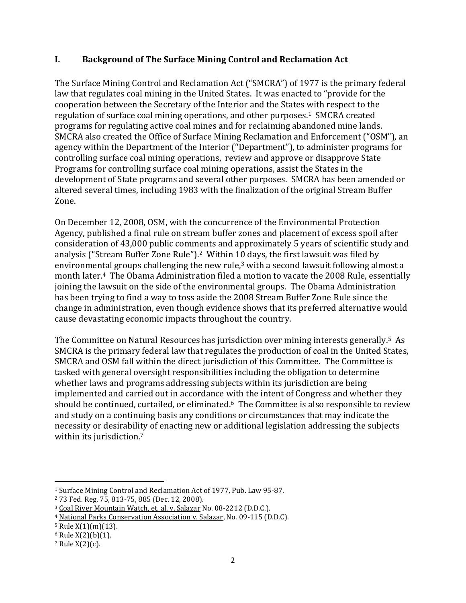# <span id="page-3-0"></span>**I. Background of The Surface Mining Control and Reclamation Act**

The Surface Mining Control and Reclamation Act ("SMCRA") of 1977 is the primary federal law that regulates coal mining in the United States. It was enacted to "provide for the cooperation between the Secretary of the Interior and the States with respect to the regulation of surface coal mining operations, and other purposes.<sup>1</sup> SMCRA created programs for regulating active coal mines and for reclaiming abandoned mine lands. SMCRA also created the Office of Surface Mining Reclamation and Enforcement ("OSM"), an agency within the Department of the Interior ("Department"), to administer programs for controlling surface coal mining operations, review and approve or disapprove State Programs for controlling surface coal mining operations, assist the States in the development of State programs and several other purposes. SMCRA has been amended or altered several times, including 1983 with the finalization of the original Stream Buffer Zone.

On December 12, 2008, OSM, with the concurrence of the Environmental Protection Agency, published a final rule on stream buffer zones and placement of excess spoil after consideration of 43,000 public comments and approximately 5 years of scientific study and analysis ("Stream Buffer Zone Rule"). <sup>2</sup> Within 10 days, the first lawsuit was filed by environmental groups challenging the new rule, $3$  with a second lawsuit following almost a month later.4 The Obama Administration filed a motion to vacate the 2008 Rule, essentially joining the lawsuit on the side of the environmental groups. The Obama Administration has been trying to find a way to toss aside the 2008 Stream Buffer Zone Rule since the change in administration, even though evidence shows that its preferred alternative would cause devastating economic impacts throughout the country.

The Committee on Natural Resources has jurisdiction over mining interests generally.5 As SMCRA is the primary federal law that regulates the production of coal in the United States, SMCRA and OSM fall within the direct jurisdiction of this Committee. The Committee is tasked with general oversight responsibilities including the obligation to determine whether laws and programs addressing subjects within its jurisdiction are being implemented and carried out in accordance with the intent of Congress and whether they should be continued, curtailed, or eliminated.<sup>6</sup> The Committee is also responsible to review and study on a continuing basis any conditions or circumstances that may indicate the necessity or desirability of enacting new or additional legislation addressing the subjects within its jurisdiction.<sup>7</sup>

<sup>1</sup> Surface Mining Control and Reclamation Act of 1977, Pub. Law 95-87.

<sup>2</sup> 73 Fed. Reg. 75, 813-75, 885 (Dec. 12, 2008).

<sup>3</sup> Coal River Mountain Watch, et. al. v. Salazar No. 08-2212 (D.D.C.).

<sup>4</sup> National Parks Conservation Association v. Salazar, No. 09-115 (D.D.C).

 $5$  Rule  $X(1)(m)(13)$ .

 $6$  Rule  $X(2)(b)(1)$ .

 $7$  Rule  $X(2)(c)$ .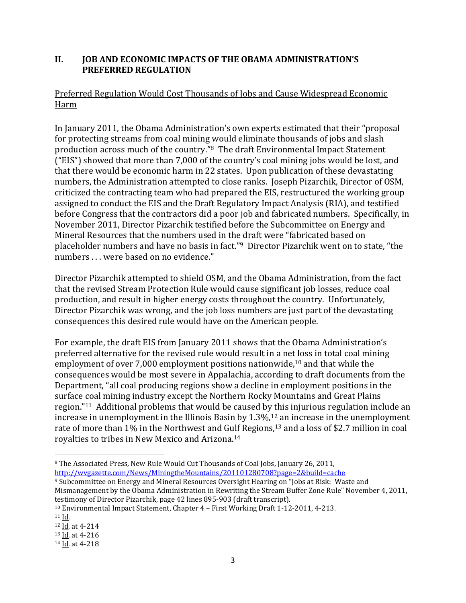# <span id="page-4-0"></span>**II. JOB AND ECONOMIC IMPACTS OF THE OBAMA ADMINISTRATION'S PREFERRED REGULATION**

# <span id="page-4-1"></span>Preferred Regulation Would Cost Thousands of Jobs and Cause Widespread Economic Harm

In January 2011, the Obama Administration's own experts estimated that their "proposal for protecting streams from coal mining would eliminate thousands of jobs and slash production across much of the country."8 The draft Environmental Impact Statement ("EIS") showed that more than 7,000 of the country's coal mining jobs would be lost, and that there would be economic harm in 22 states. Upon publication of these devastating numbers, the Administration attempted to close ranks. Joseph Pizarchik, Director of OSM, criticized the contracting team who had prepared the EIS, restructured the working group assigned to conduct the EIS and the Draft Regulatory Impact Analysis (RIA), and testified before Congress that the contractors did a poor job and fabricated numbers. Specifically, in November 2011, Director Pizarchik testified before the Subcommittee on Energy and Mineral Resources that the numbers used in the draft were "fabricated based on placeholder numbers and have no basis in fact."<sup>9</sup> Director Pizarchik went on to state, "the numbers . . . were based on no evidence."

Director Pizarchik attempted to shield OSM, and the Obama Administration, from the fact that the revised Stream Protection Rule would cause significant job losses, reduce coal production, and result in higher energy costs throughout the country. Unfortunately, Director Pizarchik was wrong, and the job loss numbers are just part of the devastating consequences this desired rule would have on the American people.

For example, the draft EIS from January 2011 shows that the Obama Administration's preferred alternative for the revised rule would result in a net loss in total coal mining employment of over 7,000 employment positions nationwide,<sup>10</sup> and that while the consequences would be most severe in Appalachia, according to draft documents from the Department, "all coal producing regions show a decline in employment positions in the surface coal mining industry except the Northern Rocky Mountains and Great Plains region."11 Additional problems that would be caused by this injurious regulation include an increase in unemployment in the Illinois Basin by 1.3%,<sup>12</sup> an increase in the unemployment rate of more than 1% in the Northwest and Gulf Regions,<sup>13</sup> and a loss of \$2.7 million in coal royalties to tribes in New Mexico and Arizona.<sup>14</sup>

 $\overline{\phantom{a}}$ <sup>8</sup> The Associated Press, New Rule Would Cut Thousands of Coal Jobs, January 26, 2011, <http://wvgazette.com/News/MiningtheMountains/201101280708?page=2&build=cache>

<sup>9</sup> Subcommittee on Energy and Mineral Resources Oversight Hearing on "Jobs at Risk: Waste and Mismanagement by the Obama Administration in Rewriting the Stream Buffer Zone Rule" November 4, 2011, testimony of Director Pizarchik, page 42 lines 895-903 (draft transcript).

<sup>10</sup> Environmental Impact Statement, Chapter 4 – First Working Draft 1-12-2011, 4-213.

 $11$  Id.

<sup>12</sup> Id. at 4-214

<sup>13</sup> Id. at 4-216

<sup>14</sup> Id. at 4-218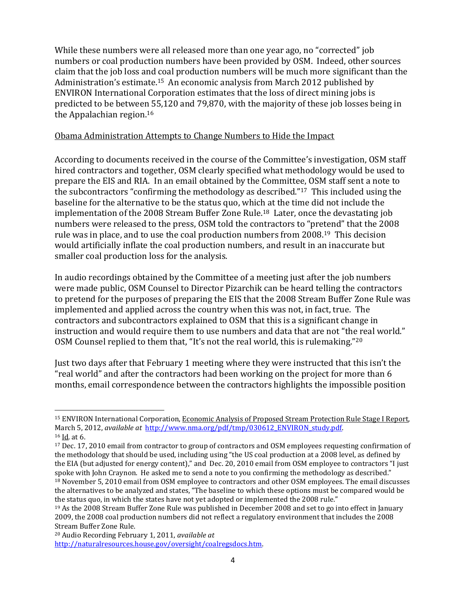While these numbers were all released more than one year ago, no "corrected" job numbers or coal production numbers have been provided by OSM. Indeed, other sources claim that the job loss and coal production numbers will be much more significant than the Administration's estimate.15 An economic analysis from March 2012 published by ENVIRON International Corporation estimates that the loss of direct mining jobs is predicted to be between 55,120 and 79,870, with the majority of these job losses being in the Appalachian region.<sup>16</sup>

#### <span id="page-5-0"></span>Obama Administration Attempts to Change Numbers to Hide the Impact

According to documents received in the course of the Committee's investigation, OSM staff hired contractors and together, OSM clearly specified what methodology would be used to prepare the EIS and RIA. In an email obtained by the Committee, OSM staff sent a note to the subcontractors "confirming the methodology as described."17 This included using the baseline for the alternative to be the status quo, which at the time did not include the implementation of the 2008 Stream Buffer Zone Rule.18 Later, once the devastating job numbers were released to the press, OSM told the contractors to "pretend" that the 2008 rule was in place, and to use the coal production numbers from 2008.19 This decision would artificially inflate the coal production numbers, and result in an inaccurate but smaller coal production loss for the analysis.

In audio recordings obtained by the Committee of a meeting just after the job numbers were made public, OSM Counsel to Director Pizarchik can be heard telling the contractors to pretend for the purposes of preparing the EIS that the 2008 Stream Buffer Zone Rule was implemented and applied across the country when this was not, in fact, true. The contractors and subcontractors explained to OSM that this is a significant change in instruction and would require them to use numbers and data that are not "the real world." OSM Counsel replied to them that, "It's not the real world, this is rulemaking."<sup>20</sup>

Just two days after that February 1 meeting where they were instructed that this isn't the "real world" and after the contractors had been working on the project for more than 6 months, email correspondence between the contractors highlights the impossible position

<sup>&</sup>lt;sup>15</sup> ENVIRON International Corporation, Economic Analysis of Proposed Stream Protection Rule Stage I Report, March 5, 2012, *available at* [http://www.nma.org/pdf/tmp/030612\\_ENVIRON\\_study.pdf.](http://www.nma.org/pdf/tmp/030612_ENVIRON_study.pdf)  <sup>16</sup> Id. at 6.

<sup>17</sup> Dec. 17, 2010 email from contractor to group of contractors and OSM employees requesting confirmation of the methodology that should be used, including using "the US coal production at a 2008 level, as defined by the EIA (but adjusted for energy content)," and Dec. 20, 2010 email from OSM employee to contractors "I just spoke with John Craynon. He asked me to send a note to you confirming the methodology as described." <sup>18</sup> November 5, 2010 email from OSM employee to contractors and other OSM employees. The email discusses the alternatives to be analyzed and states, "The baseline to which these options must be compared would be the status quo, in which the states have not yet adopted or implemented the 2008 rule."

<sup>19</sup> As the 2008 Stream Buffer Zone Rule was published in December 2008 and set to go into effect in January 2009, the 2008 coal production numbers did not reflect a regulatory environment that includes the 2008 Stream Buffer Zone Rule.

<sup>20</sup> Audio Recording February 1, 2011, *available at*  [http://naturalresources.house.gov/oversight/coalregsdocs.htm.](http://naturalresources.house.gov/oversight/coalregsdocs.htm)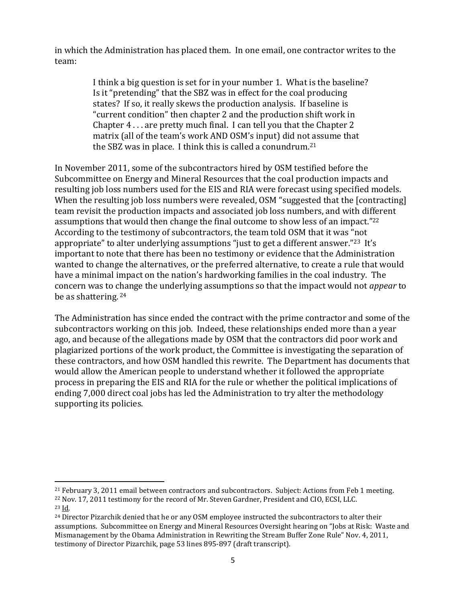in which the Administration has placed them. In one email, one contractor writes to the team:

> I think a big question is set for in your number 1. What is the baseline? Is it "pretending" that the SBZ was in effect for the coal producing states? If so, it really skews the production analysis. If baseline is "current condition" then chapter 2 and the production shift work in Chapter 4 . . . are pretty much final. I can tell you that the Chapter 2 matrix (all of the team's work AND OSM's input) did not assume that the SBZ was in place. I think this is called a conundrum.<sup>21</sup>

In November 2011, some of the subcontractors hired by OSM testified before the Subcommittee on Energy and Mineral Resources that the coal production impacts and resulting job loss numbers used for the EIS and RIA were forecast using specified models. When the resulting job loss numbers were revealed, OSM "suggested that the [contracting] team revisit the production impacts and associated job loss numbers, and with different assumptions that would then change the final outcome to show less of an impact." 22 According to the testimony of subcontractors, the team told OSM that it was "not appropriate" to alter underlying assumptions "just to get a different answer."<sup>23</sup> It's important to note that there has been no testimony or evidence that the Administration wanted to change the alternatives, or the preferred alternative, to create a rule that would have a minimal impact on the nation's hardworking families in the coal industry. The concern was to change the underlying assumptions so that the impact would not *appear* to be as shattering. <sup>24</sup>

The Administration has since ended the contract with the prime contractor and some of the subcontractors working on this job. Indeed, these relationships ended more than a year ago, and because of the allegations made by OSM that the contractors did poor work and plagiarized portions of the work product, the Committee is investigating the separation of these contractors, and how OSM handled this rewrite. The Department has documents that would allow the American people to understand whether it followed the appropriate process in preparing the EIS and RIA for the rule or whether the political implications of ending 7,000 direct coal jobs has led the Administration to try alter the methodology supporting its policies.

<sup>22</sup> Nov. 17, 2011 testimony for the record of Mr. Steven Gardner, President and CIO, ECSI, LLC. <sup>23</sup> Id.

<sup>21</sup> February 3, 2011 email between contractors and subcontractors. Subject: Actions from Feb 1 meeting.

<sup>&</sup>lt;sup>24</sup> Director Pizarchik denied that he or any OSM employee instructed the subcontractors to alter their assumptions. Subcommittee on Energy and Mineral Resources Oversight hearing on "Jobs at Risk: Waste and Mismanagement by the Obama Administration in Rewriting the Stream Buffer Zone Rule" Nov. 4, 2011, testimony of Director Pizarchik, page 53 lines 895-897 (draft transcript).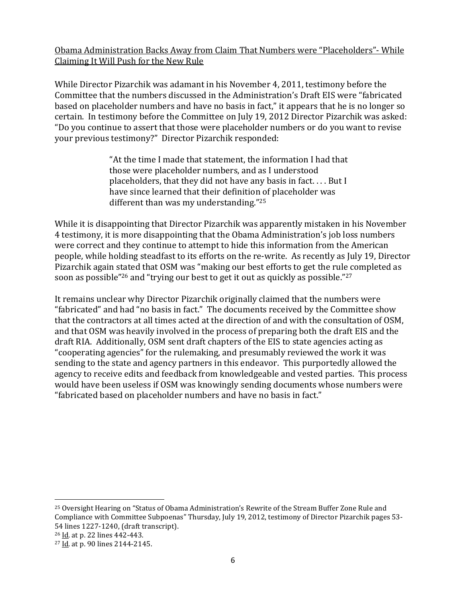# <span id="page-7-0"></span>Obama Administration Backs Away from Claim That Numbers were "Placeholders"- While Claiming It Will Push for the New Rule

While Director Pizarchik was adamant in his November 4, 2011, testimony before the Committee that the numbers discussed in the Administration's Draft EIS were "fabricated based on placeholder numbers and have no basis in fact," it appears that he is no longer so certain. In testimony before the Committee on July 19, 2012 Director Pizarchik was asked: "Do you continue to assert that those were placeholder numbers or do you want to revise your previous testimony?" Director Pizarchik responded:

> "At the time I made that statement, the information I had that those were placeholder numbers, and as I understood placeholders, that they did not have any basis in fact. . . . But I have since learned that their definition of placeholder was different than was my understanding."<sup>25</sup>

While it is disappointing that Director Pizarchik was apparently mistaken in his November 4 testimony, it is more disappointing that the Obama Administration's job loss numbers were correct and they continue to attempt to hide this information from the American people, while holding steadfast to its efforts on the re-write. As recently as July 19, Director Pizarchik again stated that OSM was "making our best efforts to get the rule completed as soon as possible"<sup>26</sup> and "trying our best to get it out as quickly as possible."<sup>27</sup>

It remains unclear why Director Pizarchik originally claimed that the numbers were "fabricated" and had "no basis in fact." The documents received by the Committee show that the contractors at all times acted at the direction of and with the consultation of OSM, and that OSM was heavily involved in the process of preparing both the draft EIS and the draft RIA. Additionally, OSM sent draft chapters of the EIS to state agencies acting as "cooperating agencies" for the rulemaking, and presumably reviewed the work it was sending to the state and agency partners in this endeavor. This purportedly allowed the agency to receive edits and feedback from knowledgeable and vested parties. This process would have been useless if OSM was knowingly sending documents whose numbers were "fabricated based on placeholder numbers and have no basis in fact."

<sup>25</sup> Oversight Hearing on "Status of Obama Administration's Rewrite of the Stream Buffer Zone Rule and Compliance with Committee Subpoenas" Thursday, July 19, 2012, testimony of Director Pizarchik pages 53- 54 lines 1227-1240, (draft transcript).

 $\overline{a}$ 

<sup>26</sup> Id. at p. 22 lines 442-443.

<sup>27</sup> Id. at p. 90 lines 2144-2145.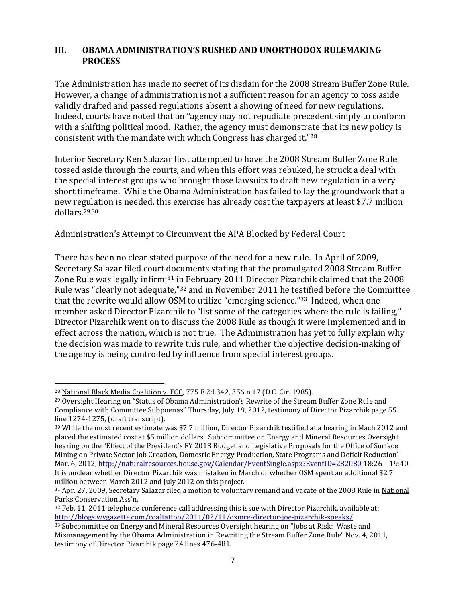#### <span id="page-8-0"></span>**III. OBAMA ADMINISTRATION'S RUSHED AND UNORTHODOX RULEMAKING PROCESS**

The Administration has made no secret of its disdain for the 2008 Stream Buffer Zone Rule. However, a change of administration is not a sufficient reason for an agency to toss aside validly drafted and passed regulations absent a showing of need for new regulations. Indeed, courts have noted that an "agency may not repudiate precedent simply to conform with a shifting political mood. Rather, the agency must demonstrate that its new policy is consistent with the mandate with which Congress has charged it." 28

Interior Secretary Ken Salazar first attempted to have the 2008 Stream Buffer Zone Rule tossed aside through the courts, and when this effort was rebuked, he struck a deal with the special interest groups who brought those lawsuits to draft new regulation in a very short timeframe. While the Obama Administration has failed to lay the groundwork that a new regulation is needed, this exercise has already cost the taxpayers at least \$7.7 million dollars.29,30

#### <span id="page-8-1"></span>Administration's Attempt to Circumvent the APA Blocked by Federal Court

There has been no clear stated purpose of the need for a new rule. In April of 2009, Secretary Salazar filed court documents stating that the promulgated 2008 Stream Buffer Zone Rule was legally infirm;<sup>31</sup> in February 2011 Director Pizarchik claimed that the 2008 Rule was "clearly not adequate,"<sup>32</sup> and in November 2011 he testified before the Committee that the rewrite would allow OSM to utilize "emerging science." <sup>33</sup> Indeed, when one member asked Director Pizarchik to "list some of the categories where the rule is failing," Director Pizarchik went on to discuss the 2008 Rule as though it were implemented and in effect across the nation, which is not true. The Administration has yet to fully explain why the decision was made to rewrite this rule, and whether the objective decision-making of the agency is being controlled by influence from special interest groups.

 $\overline{\phantom{a}}$ <sup>28</sup> National Black Media Coalition v. FCC, 775 F.2d 342, 356 n.17 (D.C. Cir. 1985).

<sup>&</sup>lt;sup>29</sup> Oversight Hearing on "Status of Obama Administration's Rewrite of the Stream Buffer Zone Rule and Compliance with Committee Subpoenas" Thursday, July 19, 2012, testimony of Director Pizarchik page 55 line 1274-1275, (draft transcript).

<sup>30</sup> While the most recent estimate was \$7.7 million, Director Pizarchik testified at a hearing in Mach 2012 and placed the estimated cost at \$5 million dollars. Subcommittee on Energy and Mineral Resources Oversight hearing on the "Effect of the President's FY 2013 Budget and Legislative Proposals for the Office of Surface Mining on Private Sector Job Creation, Domestic Energy Production, State Programs and Deficit Reduction" Mar. 6, 2012[, http://naturalresources.house.gov/Calendar/EventSingle.aspx?EventID=282080](http://naturalresources.house.gov/Calendar/EventSingle.aspx?EventID=282080) 18:26 - 19:40. It is unclear whether Director Pizarchik was mistaken in March or whether OSM spent an additional \$2.7 million between March 2012 and July 2012 on this project.

<sup>31</sup> Apr. 27, 2009, Secretary Salazar filed a motion to voluntary remand and vacate of the 2008 Rule in National Parks Conservation Ass'n.

<sup>32</sup> Feb. 11, 2011 telephone conference call addressing this issue with Director Pizarchik, available at: [http://blogs.wvgazette.com/coaltattoo/2011/02/11/osmre-director-joe-pizarchik-speaks/.](http://blogs.wvgazette.com/coaltattoo/2011/02/11/osmre-director-joe-pizarchik-speaks/)

<sup>33</sup> Subcommittee on Energy and Mineral Resources Oversight hearing on "Jobs at Risk: Waste and Mismanagement by the Obama Administration in Rewriting the Stream Buffer Zone Rule" Nov. 4, 2011, testimony of Director Pizarchik page 24 lines 476-481.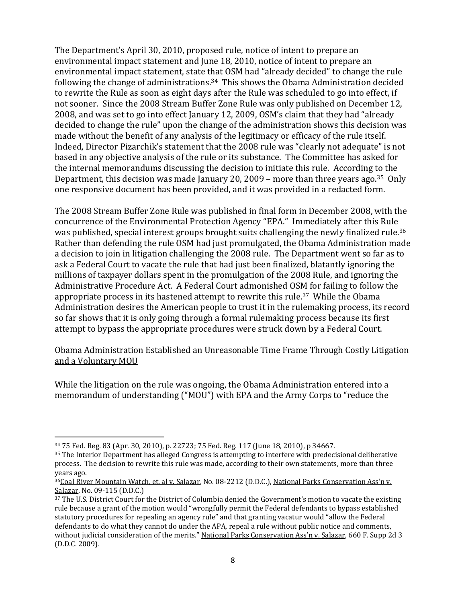The Department's April 30, 2010, proposed rule, notice of intent to prepare an environmental impact statement and June 18, 2010, notice of intent to prepare an environmental impact statement, state that OSM had "already decided" to change the rule following the change of administrations.34 This shows the Obama Administration decided to rewrite the Rule as soon as eight days after the Rule was scheduled to go into effect, if not sooner. Since the 2008 Stream Buffer Zone Rule was only published on December 12, 2008, and was set to go into effect January 12, 2009, OSM's claim that they had "already decided to change the rule" upon the change of the administration shows this decision was made without the benefit of any analysis of the legitimacy or efficacy of the rule itself. Indeed, Director Pizarchik's statement that the 2008 rule was "clearly not adequate" is not based in any objective analysis of the rule or its substance. The Committee has asked for the internal memorandums discussing the decision to initiate this rule. According to the Department, this decision was made January 20, 2009 – more than three years ago.<sup>35</sup> Only one responsive document has been provided, and it was provided in a redacted form.

The 2008 Stream Buffer Zone Rule was published in final form in December 2008, with the concurrence of the Environmental Protection Agency "EPA." Immediately after this Rule was published, special interest groups brought suits challenging the newly finalized rule.<sup>36</sup> Rather than defending the rule OSM had just promulgated, the Obama Administration made a decision to join in litigation challenging the 2008 rule. The Department went so far as to ask a Federal Court to vacate the rule that had just been finalized, blatantly ignoring the millions of taxpayer dollars spent in the promulgation of the 2008 Rule, and ignoring the Administrative Procedure Act. A Federal Court admonished OSM for failing to follow the appropriate process in its hastened attempt to rewrite this rule.37 While the Obama Administration desires the American people to trust it in the rulemaking process, its record so far shows that it is only going through a formal rulemaking process because its first attempt to bypass the appropriate procedures were struck down by a Federal Court.

#### <span id="page-9-0"></span>Obama Administration Established an Unreasonable Time Frame Through Costly Litigation and a Voluntary MOU

While the litigation on the rule was ongoing, the Obama Administration entered into a memorandum of understanding ("MOU") with EPA and the Army Corps to "reduce the

 $\overline{a}$ 

<sup>34</sup> 75 Fed. Reg. 83 (Apr. 30, 2010), p. 22723; 75 Fed. Reg. 117 (June 18, 2010), p 34667.

<sup>35</sup> The Interior Department has alleged Congress is attempting to interfere with predecisional deliberative process. The decision to rewrite this rule was made, according to their own statements, more than three years ago.

<sup>36</sup>Coal River Mountain Watch, et. al v. Salazar, No. 08-2212 (D.D.C.), National Parks Conservation Ass'n v. Salazar, No. 09-115 (D.D.C.)

<sup>&</sup>lt;sup>37</sup> The U.S. District Court for the District of Columbia denied the Government's motion to vacate the existing rule because a grant of the motion would "wrongfully permit the Federal defendants to bypass established statutory procedures for repealing an agency rule" and that granting vacatur would "allow the Federal defendants to do what they cannot do under the APA, repeal a rule without public notice and comments, without judicial consideration of the merits." National Parks Conservation Ass'n v. Salazar, 660 F. Supp 2d 3 (D.D.C. 2009).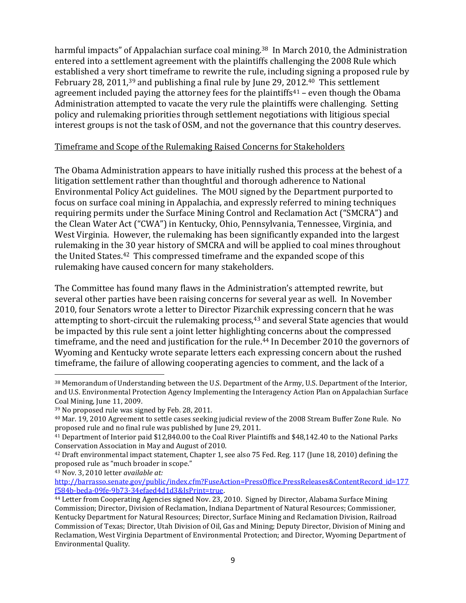harmful impacts" of Appalachian surface coal mining.<sup>38</sup> In March 2010, the Administration entered into a settlement agreement with the plaintiffs challenging the 2008 Rule which established a very short timeframe to rewrite the rule, including signing a proposed rule by February 28, 2011,<sup>39</sup> and publishing a final rule by June 29, 2012.<sup>40</sup> This settlement agreement included paying the attorney fees for the plaintiffs $41$  – even though the Obama Administration attempted to vacate the very rule the plaintiffs were challenging. Setting policy and rulemaking priorities through settlement negotiations with litigious special interest groups is not the task of OSM, and not the governance that this country deserves.

#### <span id="page-10-0"></span>Timeframe and Scope of the Rulemaking Raised Concerns for Stakeholders

The Obama Administration appears to have initially rushed this process at the behest of a litigation settlement rather than thoughtful and thorough adherence to National Environmental Policy Act guidelines. The MOU signed by the Department purported to focus on surface coal mining in Appalachia, and expressly referred to mining techniques requiring permits under the Surface Mining Control and Reclamation Act ("SMCRA") and the Clean Water Act ("CWA") in Kentucky, Ohio, Pennsylvania, Tennessee, Virginia, and West Virginia. However, the rulemaking has been significantly expanded into the largest rulemaking in the 30 year history of SMCRA and will be applied to coal mines throughout the United States.42 This compressed timeframe and the expanded scope of this rulemaking have caused concern for many stakeholders.

The Committee has found many flaws in the Administration's attempted rewrite, but several other parties have been raising concerns for several year as well. In November 2010, four Senators wrote a letter to Director Pizarchik expressing concern that he was attempting to short-circuit the rulemaking process,<sup>43</sup> and several State agencies that would be impacted by this rule sent a joint letter highlighting concerns about the compressed timeframe, and the need and justification for the rule.<sup>44</sup> In December 2010 the governors of Wyoming and Kentucky wrote separate letters each expressing concern about the rushed timeframe, the failure of allowing cooperating agencies to comment, and the lack of a

<sup>43</sup> Nov. 3, 2010 letter *available at:* 

<sup>38</sup> Memorandum of Understanding between the U.S. Department of the Army, U.S. Department of the Interior, and U.S. Environmental Protection Agency Implementing the Interagency Action Plan on Appalachian Surface Coal Mining, June 11, 2009.

<sup>39</sup> No proposed rule was signed by Feb. 28, 2011.

<sup>40</sup> Mar. 19, 2010 Agreement to settle cases seeking judicial review of the 2008 Stream Buffer Zone Rule. No proposed rule and no final rule was published by June 29, 2011.

<sup>41</sup> Department of Interior paid \$12,840.00 to the Coal River Plaintiffs and \$48,142.40 to the National Parks Conservation Association in May and August of 2010.

<sup>42</sup> Draft environmental impact statement, Chapter 1, see also 75 Fed. Reg. 117 (June 18, 2010) defining the proposed rule as "much broader in scope."

[http://barrasso.senate.gov/public/index.cfm?FuseAction=PressOffice.PressReleases&ContentRecord\\_id=177](http://barrasso.senate.gov/public/index.cfm?FuseAction=PressOffice.PressReleases&ContentRecord_id=177f584b-beda-09fe-9b73-34efaed4d1d3&IsPrint=true) [f584b-beda-09fe-9b73-34efaed4d1d3&IsPrint=true.](http://barrasso.senate.gov/public/index.cfm?FuseAction=PressOffice.PressReleases&ContentRecord_id=177f584b-beda-09fe-9b73-34efaed4d1d3&IsPrint=true)

<sup>44</sup> Letter from Cooperating Agencies signed Nov. 23, 2010. Signed by Director, Alabama Surface Mining Commission; Director, Division of Reclamation, Indiana Department of Natural Resources; Commissioner, Kentucky Department for Natural Resources; Director, Surface Mining and Reclamation Division, Railroad Commission of Texas; Director, Utah Division of Oil, Gas and Mining; Deputy Director, Division of Mining and Reclamation, West Virginia Department of Environmental Protection; and Director, Wyoming Department of Environmental Quality.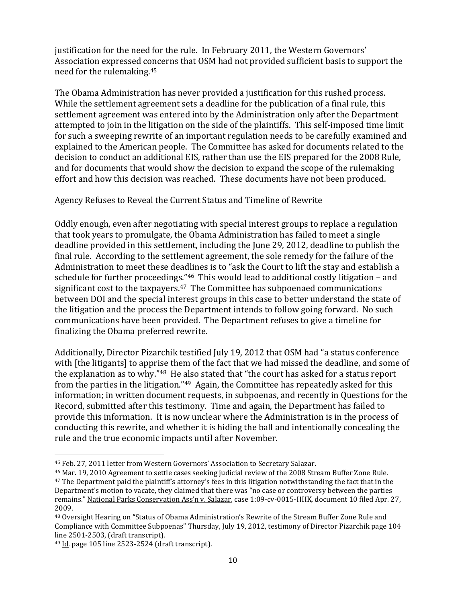justification for the need for the rule. In February 2011, the Western Governors' Association expressed concerns that OSM had not provided sufficient basis to support the need for the rulemaking.<sup>45</sup>

The Obama Administration has never provided a justification for this rushed process. While the settlement agreement sets a deadline for the publication of a final rule, this settlement agreement was entered into by the Administration only after the Department attempted to join in the litigation on the side of the plaintiffs. This self-imposed time limit for such a sweeping rewrite of an important regulation needs to be carefully examined and explained to the American people. The Committee has asked for documents related to the decision to conduct an additional EIS, rather than use the EIS prepared for the 2008 Rule, and for documents that would show the decision to expand the scope of the rulemaking effort and how this decision was reached. These documents have not been produced.

#### <span id="page-11-0"></span>Agency Refuses to Reveal the Current Status and Timeline of Rewrite

Oddly enough, even after negotiating with special interest groups to replace a regulation that took years to promulgate, the Obama Administration has failed to meet a single deadline provided in this settlement, including the June 29, 2012, deadline to publish the final rule. According to the settlement agreement, the sole remedy for the failure of the Administration to meet these deadlines is to "ask the Court to lift the stay and establish a schedule for further proceedings."46 This would lead to additional costly litigation – and significant cost to the taxpayers.<sup>47</sup> The Committee has subpoenaed communications between DOI and the special interest groups in this case to better understand the state of the litigation and the process the Department intends to follow going forward. No such communications have been provided. The Department refuses to give a timeline for finalizing the Obama preferred rewrite.

Additionally, Director Pizarchik testified July 19, 2012 that OSM had "a status conference with [the litigants] to apprise them of the fact that we had missed the deadline, and some of the explanation as to why."<sup>48</sup> He also stated that "the court has asked for a status report from the parties in the litigation."49 Again, the Committee has repeatedly asked for this information; in written document requests, in subpoenas, and recently in Questions for the Record, submitted after this testimony. Time and again, the Department has failed to provide this information. It is now unclear where the Administration is in the process of conducting this rewrite, and whether it is hiding the ball and intentionally concealing the rule and the true economic impacts until after November.

 $\overline{\phantom{a}}$ 

<sup>45</sup> Feb. 27, 2011 letter from Western Governors' Association to Secretary Salazar.

<sup>46</sup> Mar. 19, 2010 Agreement to settle cases seeking judicial review of the 2008 Stream Buffer Zone Rule. <sup>47</sup> The Department paid the plaintiff's attorney's fees in this litigation notwithstanding the fact that in the Department's motion to vacate, they claimed that there was "no case or controversy between the parties remains." National Parks Conservation Ass'n v. Salazar, case 1:09-cv-0015-HHK, document 10 filed Apr. 27, 2009.

<sup>48</sup> Oversight Hearing on "Status of Obama Administration's Rewrite of the Stream Buffer Zone Rule and Compliance with Committee Subpoenas" Thursday, July 19, 2012, testimony of Director Pizarchik page 104 line 2501-2503, (draft transcript).

 $49$  Id. page 105 line 2523-2524 (draft transcript).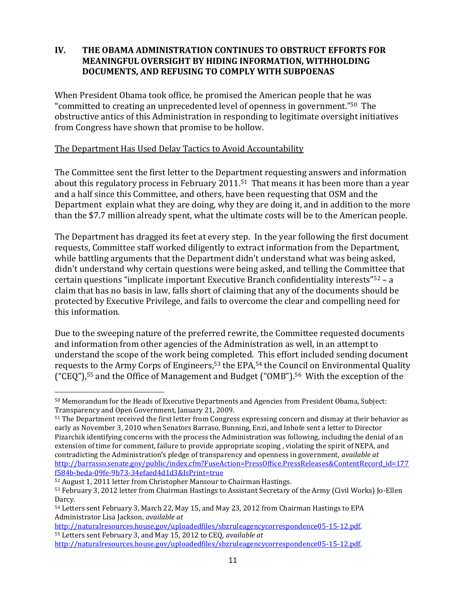## <span id="page-12-0"></span>**IV. THE OBAMA ADMINISTRATION CONTINUES TO OBSTRUCT EFFORTS FOR MEANINGFUL OVERSIGHT BY HIDING INFORMATION, WITHHOLDING DOCUMENTS, AND REFUSING TO COMPLY WITH SUBPOENAS**

When President Obama took office, he promised the American people that he was "committed to creating an unprecedented level of openness in government."50 The obstructive antics of this Administration in responding to legitimate oversight initiatives from Congress have shown that promise to be hollow.

### <span id="page-12-1"></span>The Department Has Used Delay Tactics to Avoid Accountability

The Committee sent the first letter to the Department requesting answers and information about this regulatory process in February 2011.51 That means it has been more than a year and a half since this Committee, and others, have been requesting that OSM and the Department explain what they are doing, why they are doing it, and in addition to the more than the \$7.7 million already spent, what the ultimate costs will be to the American people.

The Department has dragged its feet at every step. In the year following the first document requests, Committee staff worked diligently to extract information from the Department, while battling arguments that the Department didn't understand what was being asked, didn't understand why certain questions were being asked, and telling the Committee that certain questions "implicate important Executive Branch confidentiality interests"<sup>52</sup> – a claim that has no basis in law, falls short of claiming that any of the documents should be protected by Executive Privilege, and fails to overcome the clear and compelling need for this information.

Due to the sweeping nature of the preferred rewrite, the Committee requested documents and information from other agencies of the Administration as well, in an attempt to understand the scope of the work being completed. This effort included sending document requests to the Army Corps of Engineers,<sup>53</sup> the EPA,<sup>54</sup> the Council on Environmental Quality ("CEQ"), <sup>55</sup> and the Office of Management and Budget ("OMB").56 With the exception of the

[http://naturalresources.house.gov/uploadedfiles/sbzruleagencycorrespondence05-15-12.pdf.](http://naturalresources.house.gov/uploadedfiles/sbzruleagencycorrespondence05-15-12.pdf) <sup>55</sup> Letters sent February 3, and May 15, 2012 to CEQ, *available at*

 $\overline{\phantom{a}}$ <sup>50</sup> Memorandum for the Heads of Executive Departments and Agencies from President Obama, Subject: Transparency and Open Government, January 21, 2009.

<sup>&</sup>lt;sup>51</sup> The Department received the first letter from Congress expressing concern and dismay at their behavior as early as November 3, 2010 when Senators Barraso, Bunning, Enzi, and Inhofe sent a letter to Director Pizarchik identifying concerns with the process the Administration was following, including the denial of an extension of time for comment, failure to provide appropriate scoping , violating the spirit of NEPA, and contradicting the Administration's pledge of transparency and openness in government, *available at* [http://barrasso.senate.gov/public/index.cfm?FuseAction=PressOffice.PressReleases&ContentRecord\\_id=177](http://barrasso.senate.gov/public/index.cfm?FuseAction=PressOffice.PressReleases&ContentRecord_id=177f584b-beda-09fe-9b73-34efaed4d1d3&IsPrint=true) [f584b-beda-09fe-9b73-34efaed4d1d3&IsPrint=true](http://barrasso.senate.gov/public/index.cfm?FuseAction=PressOffice.PressReleases&ContentRecord_id=177f584b-beda-09fe-9b73-34efaed4d1d3&IsPrint=true) 

<sup>52</sup> August 1, 2011 letter from Christopher Mansour to Chairman Hastings.

<sup>53</sup> February 3, 2012 letter from Chairman Hastings to Assistant Secretary of the Army (Civil Works) Jo-Ellen Darcy.

<sup>54</sup> Letters sent February 3, March 22, May 15, and May 23, 2012 from Chairman Hastings to EPA Administrator Lisa Jackson, *available at*

[http://naturalresources.house.gov/uploadedfiles/sbzruleagencycorrespondence05-15-12.pdf.](http://naturalresources.house.gov/uploadedfiles/sbzruleagencycorrespondence05-15-12.pdf)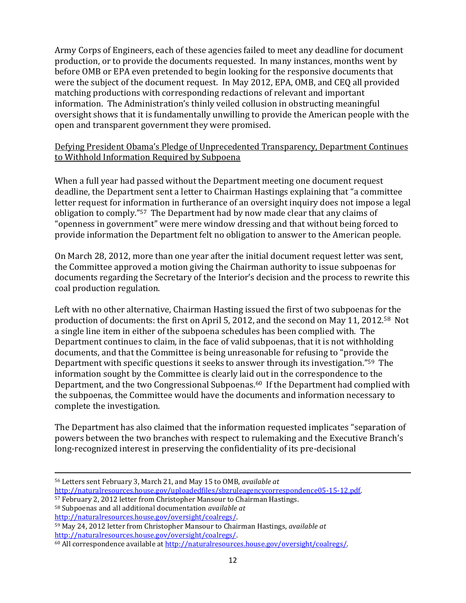Army Corps of Engineers, each of these agencies failed to meet any deadline for document production, or to provide the documents requested. In many instances, months went by before OMB or EPA even pretended to begin looking for the responsive documents that were the subject of the document request. In May 2012, EPA, OMB, and CEQ all provided matching productions with corresponding redactions of relevant and important information. The Administration's thinly veiled collusion in obstructing meaningful oversight shows that it is fundamentally unwilling to provide the American people with the open and transparent government they were promised.

# <span id="page-13-0"></span>Defying President Obama's Pledge of Unprecedented Transparency, Department Continues to Withhold Information Required by Subpoena

When a full year had passed without the Department meeting one document request deadline, the Department sent a letter to Chairman Hastings explaining that "a committee letter request for information in furtherance of an oversight inquiry does not impose a legal obligation to comply."57 The Department had by now made clear that any claims of "openness in government" were mere window dressing and that without being forced to provide information the Department felt no obligation to answer to the American people.

On March 28, 2012, more than one year after the initial document request letter was sent, the Committee approved a motion giving the Chairman authority to issue subpoenas for documents regarding the Secretary of the Interior's decision and the process to rewrite this coal production regulation.

Left with no other alternative, Chairman Hasting issued the first of two subpoenas for the production of documents: the first on April 5, 2012, and the second on May 11, 2012.58 Not a single line item in either of the subpoena schedules has been complied with. The Department continues to claim, in the face of valid subpoenas, that it is not withholding documents, and that the Committee is being unreasonable for refusing to "provide the Department with specific questions it seeks to answer through its investigation."59 The information sought by the Committee is clearly laid out in the correspondence to the Department, and the two Congressional Subpoenas.60 If the Department had complied with the subpoenas, the Committee would have the documents and information necessary to complete the investigation.

The Department has also claimed that the information requested implicates "separation of powers between the two branches with respect to rulemaking and the Executive Branch's long-recognized interest in preserving the confidentiality of its pre-decisional

l

<sup>59</sup> May 24, 2012 letter from Christopher Mansour to Chairman Hastings, *available at* [http://naturalresources.house.gov/oversight/coalregs/.](http://naturalresources.house.gov/oversight/coalregs/) 

<sup>56</sup> Letters sent February 3, March 21, and May 15 to OMB, *available at*

[http://naturalresources.house.gov/uploadedfiles/sbzruleagencycorrespondence05-15-12.pdf.](http://naturalresources.house.gov/uploadedfiles/sbzruleagencycorrespondence05-15-12.pdf)

<sup>57</sup> February 2, 2012 letter from Christopher Mansour to Chairman Hastings.

<sup>58</sup> Subpoenas and all additional documentation *available at* [http://naturalresources.house.gov/oversight/coalregs/.](http://naturalresources.house.gov/oversight/coalregs/) 

<sup>60</sup> All correspondence available a[t http://naturalresources.house.gov/oversight/coalregs/.](http://naturalresources.house.gov/oversight/coalregs/)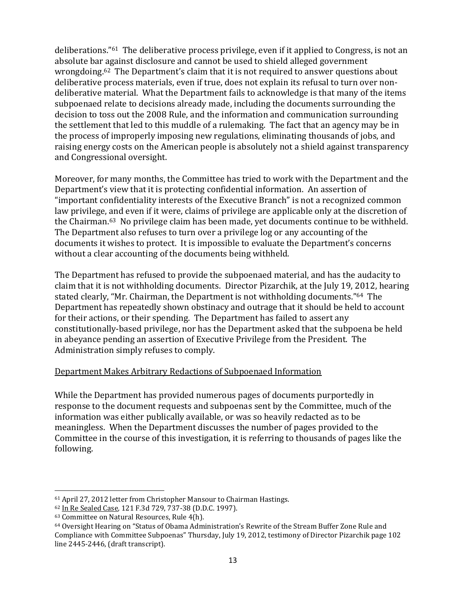deliberations."61 The deliberative process privilege, even if it applied to Congress, is not an absolute bar against disclosure and cannot be used to shield alleged government wrongdoing.62 The Department's claim that it is not required to answer questions about deliberative process materials, even if true, does not explain its refusal to turn over nondeliberative material. What the Department fails to acknowledge is that many of the items subpoenaed relate to decisions already made, including the documents surrounding the decision to toss out the 2008 Rule, and the information and communication surrounding the settlement that led to this muddle of a rulemaking. The fact that an agency may be in the process of improperly imposing new regulations, eliminating thousands of jobs, and raising energy costs on the American people is absolutely not a shield against transparency and Congressional oversight.

Moreover, for many months, the Committee has tried to work with the Department and the Department's view that it is protecting confidential information. An assertion of "important confidentiality interests of the Executive Branch" is not a recognized common law privilege, and even if it were, claims of privilege are applicable only at the discretion of the Chairman.63 No privilege claim has been made, yet documents continue to be withheld. The Department also refuses to turn over a privilege log or any accounting of the documents it wishes to protect. It is impossible to evaluate the Department's concerns without a clear accounting of the documents being withheld.

The Department has refused to provide the subpoenaed material, and has the audacity to claim that it is not withholding documents. Director Pizarchik, at the July 19, 2012, hearing stated clearly, "Mr. Chairman, the Department is not withholding documents."64 The Department has repeatedly shown obstinacy and outrage that it should be held to account for their actions, or their spending. The Department has failed to assert any constitutionally-based privilege, nor has the Department asked that the subpoena be held in abeyance pending an assertion of Executive Privilege from the President. The Administration simply refuses to comply.

#### <span id="page-14-0"></span>Department Makes Arbitrary Redactions of Subpoenaed Information

While the Department has provided numerous pages of documents purportedly in response to the document requests and subpoenas sent by the Committee, much of the information was either publically available, or was so heavily redacted as to be meaningless. When the Department discusses the number of pages provided to the Committee in the course of this investigation, it is referring to thousands of pages like the following.

 $\overline{\phantom{a}}$ 

<sup>61</sup> April 27, 2012 letter from Christopher Mansour to Chairman Hastings.

<sup>62</sup> In Re Sealed Case*,* 121 F.3d 729, 737-38 (D.D.C. 1997).

<sup>63</sup> Committee on Natural Resources, Rule 4(h).

<sup>64</sup> Oversight Hearing on "Status of Obama Administration's Rewrite of the Stream Buffer Zone Rule and Compliance with Committee Subpoenas" Thursday, July 19, 2012, testimony of Director Pizarchik page 102 line 2445-2446, (draft transcript).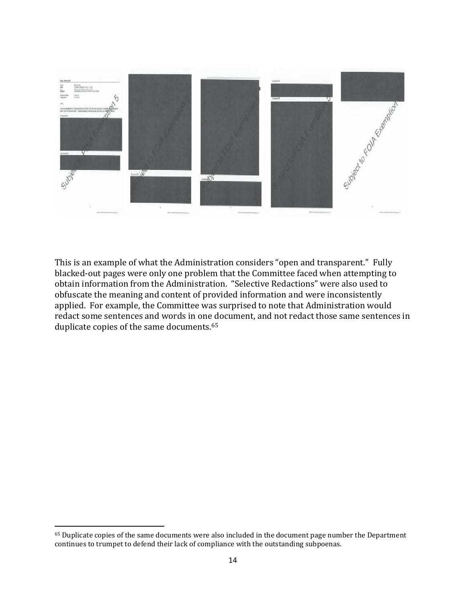

This is an example of what the Administration considers "open and transparent." Fully blacked-out pages were only one problem that the Committee faced when attempting to obtain information from the Administration. "Selective Redactions" were also used to obfuscate the meaning and content of provided information and were inconsistently applied. For example, the Committee was surprised to note that Administration would redact some sentences and words in one document, and not redact those same sentences in duplicate copies of the same documents.<sup>65</sup>

 $\overline{\phantom{a}}$ 

<sup>65</sup> Duplicate copies of the same documents were also included in the document page number the Department continues to trumpet to defend their lack of compliance with the outstanding subpoenas.